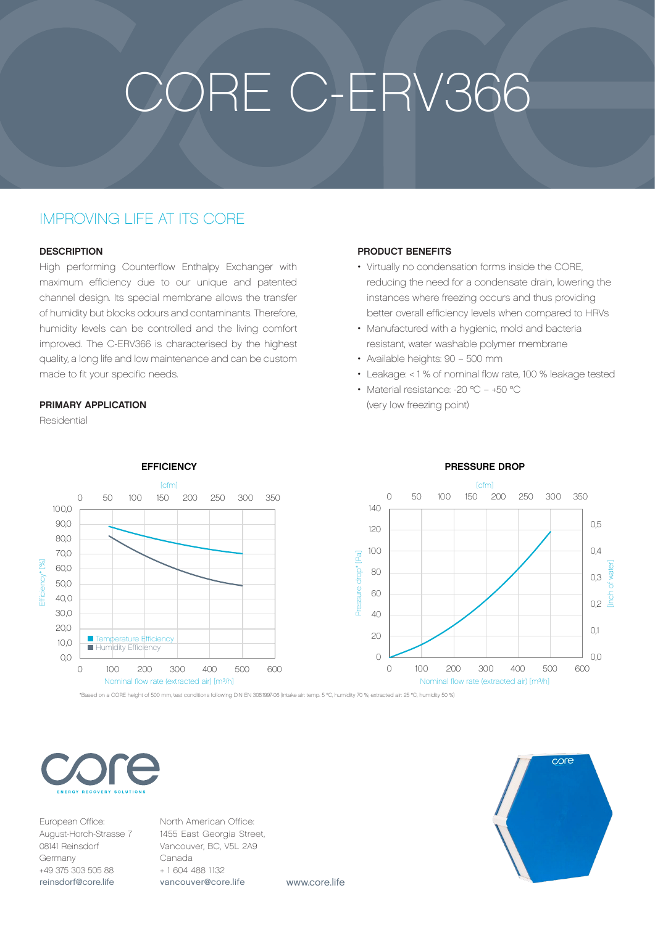# CORE C-ERV366

## IMPROVING LIFE AT ITS CORE

#### **DESCRIPTION**

High performing Counterflow Enthalpy Exchanger with maximum efficiency due to our unique and patented channel design. Its special membrane allows the transfer of humidity but blocks odours and contaminants. Therefore, humidity levels can be controlled and the living comfort improved. The C-ERV366 is characterised by the highest quality, a long life and low maintenance and can be custom made to fit your specific needs.

#### PRIMARY APPLICATION

Residential



#### PRODUCT BENEFITS

- Virtually no condensation forms inside the CORE, reducing the need for a condensate drain, lowering the instances where freezing occurs and thus providing better overall efficiency levels when compared to HRVs
- Manufactured with a hygienic, mold and bacteria resistant, water washable polymer membrane
- Available heights: 90 500 mm
- Leakage: < 1 % of nominal flow rate, 100 % leakage tested
- Material resistance: -20 °C +50 °C (very low freezing point)



### PRESSURE DROP



[inch of water]

0,0

 $\overline{01}$ 

0,2

0,3

 $0<sub>4</sub>$ 

0,5

European Office: August-Horch-Strasse 7 08141 Reinsdorf Germany +49 375 303 505 88 [reinsdorf@core.life](mailto:reinsdorf%40core.life?subject=)

 $\bigcirc$ 

North American Office: 1455 East Georgia Street, Vancouver, BC, V5L 2A9 Canada + 1 604 488 1132 [vancouver@core.life](mailto:vancouver%40core.life?subject=)

www.core.life